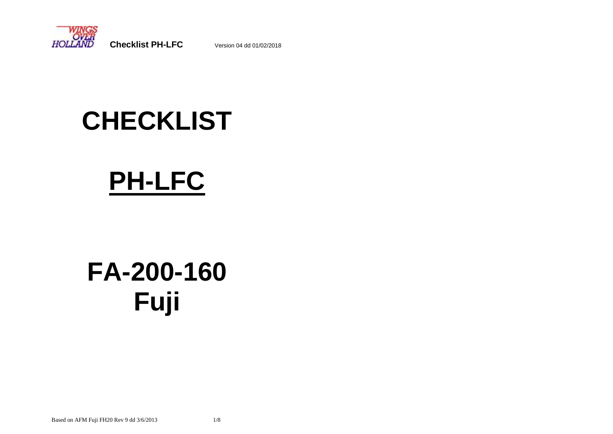

# **CHECKLIST**

# **PH-LFC**

# **FA-200-160 Fuji**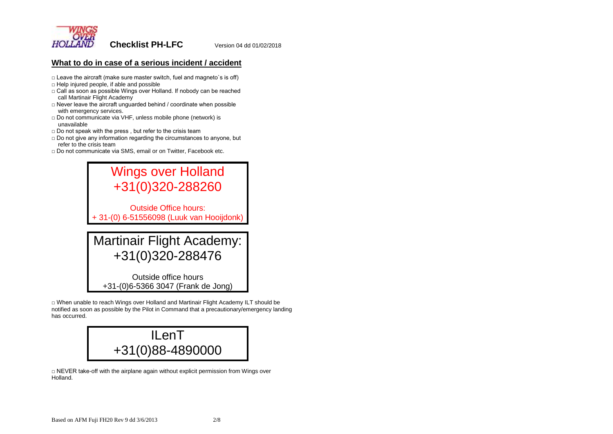

# **What to do in case of a serious incident / accident**

- $\Box$  Leave the aircraft (make sure master switch, fuel and magneto's is off)
- $\Box$  Help injured people, if able and possible
- □ Call as soon as possible Wings over Holland. If nobody can be reached call Martinair Flight Academy
- $\Box$  Never leave the aircraft unguarded behind / coordinate when possible with emergency services.
- □ Do not communicate via VHF, unless mobile phone (network) is unavailable
- □ Do not speak with the press, but refer to the crisis team
- □ Do not give any information regarding the circumstances to anyone, but refer to the crisis team
- □ Do not communicate via SMS, email or on Twitter, Facebook etc.

Wings over Holland +31(0)320-288260 Outside Office hours: + 31-(0) 6-51556098 (Luuk van Hooijdonk) Martinair Flight Academy:

+31(0)320-288476

Outside office hours +31-(0)6-5366 3047 (Frank de Jong)

□ When unable to reach Wings over Holland and Martinair Flight Academy ILT should be notified as soon as possible by the Pilot in Command that a precautionary/emergency landing has occurred.



 $\Box$  NEVER take-off with the airplane again without explicit permission from Wings over Holland.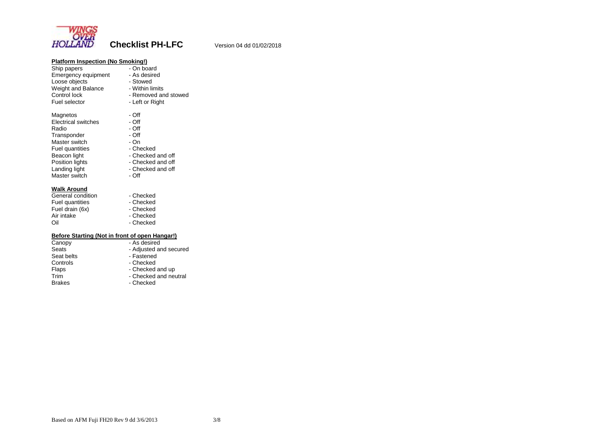

| <b>Platform Inspection (No Smoking!)</b><br>Ship papers<br><b>Emergency equipment</b><br>Loose objects<br>Weight and Balance<br>Control lock<br>Fuel selector                  | - On board<br>- As desired<br>- Stowed<br>- Within limits<br>- Removed and stowed<br>- Left or Right                          |
|--------------------------------------------------------------------------------------------------------------------------------------------------------------------------------|-------------------------------------------------------------------------------------------------------------------------------|
| Magnetos<br><b>Electrical switches</b><br>Radio<br>Transponder<br>Master switch<br><b>Fuel quantities</b><br>Beacon light<br>Position lights<br>Landing light<br>Master switch | - Off<br>- Off<br>- Off<br>- Off<br>- On<br>- Checked<br>- Checked and off<br>- Checked and off<br>- Checked and off<br>- Off |
| <b>Walk Around</b><br>General condition<br><b>Fuel quantities</b><br>Fuel drain (6x)<br>Air intake<br>Oil                                                                      | - Checked<br>- Checked<br>- Checked<br>- Checked<br>- Checked                                                                 |
| Before Starting (Not in front of open Hangar!)<br>Canopy<br>Seats<br>Seat belts<br>Controls<br>Flaps<br>Trim<br><b>Brakes</b>                                                  | - As desired<br>- Adjusted and secured<br>- Fastened<br>- Checked<br>- Checked and up<br>- Checked and neutral<br>- Checked   |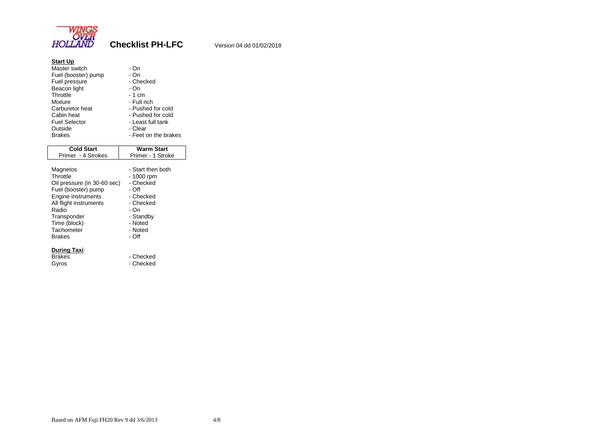

| <b>Start Up</b><br>Master switch<br>Fuel (booster) pump<br>Fuel pressure<br>Beacon light<br>Throttle<br><b>Mixture</b><br>Carburetor heat<br>Cabin heat<br><b>Fuel Selector</b><br>Outside<br><b>Brakes</b> | - On<br>- On<br>- Checked<br>- On<br>- 1 cm<br>- Full rich<br>- Pushed for cold<br>- Pushed for cold<br>- Least full tank<br>- Clear<br>- Feet on the brakes |  |
|-------------------------------------------------------------------------------------------------------------------------------------------------------------------------------------------------------------|--------------------------------------------------------------------------------------------------------------------------------------------------------------|--|
| <b>Cold Start</b>                                                                                                                                                                                           | <b>Warm Start</b>                                                                                                                                            |  |
| Primer - 4 Strokes                                                                                                                                                                                          | Primer - 1 Stroke                                                                                                                                            |  |
| Magnetos<br>Throttle<br>Oil pressure (in 30-60 sec)<br>Fuel (booster) pump<br>Engine instruments<br>All flight instruments<br>Radio<br>Transponder<br>Time (block)<br>Tachometer<br><b>Brakes</b>           | - Start then both<br>- 1000 rpm<br>- Checked<br>- Off<br>- Checked<br>- Checked<br>- On<br>- Standby<br>- Noted<br>- Noted<br>- Off                          |  |
| During Taxi<br><b>Brakes</b><br>Gvros                                                                                                                                                                       | - Checked<br>- Checked                                                                                                                                       |  |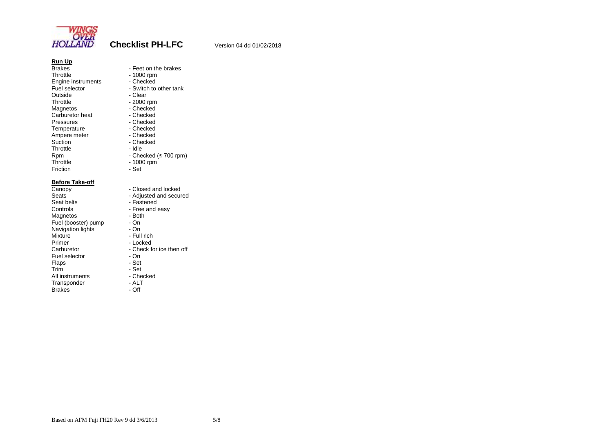

- Feet on the brakes

- Switch to other tank

 $-$  Checked (≤ 700 rpm)

| <b>Run Up</b>      |              |
|--------------------|--------------|
| <b>Brakes</b>      | - Feet on th |
| Throttle           | - 1000 rpm   |
| Engine instruments | - Checked    |
| Fuel selector      | - Switch to  |
| Outside            | - Clear      |
| Throttle           | - 2000 rpm   |
| Magnetos           | - Checked    |
| Carburetor heat    | - Checked    |
| Pressures          | - Checked    |
| Temperature        | - Checked    |
| Ampere meter       | - Checked    |
| Suction            | - Checked    |
| Throttle           | - Idle       |
| Rpm                | - Checked (  |
| Throttle           | - 1000 rpm   |
| Friction           | - Set        |
|                    |              |

# **Before Take-off**<br>Canopy

Seat belts<br>
Controls<br>
Controls<br>
Free and e Magnetos - Both<br>Fuel (booster) pump - On Fuel (booster) pump - On<br>Navigation lights - On Navigation lights<br>Mixture Mixture - Full rich<br>Primer - Locked Primer - Locked<br>Carburetor - Check for Fuel selector The Set on Set of Set of Set of Set of Set of Set of Set of Set of Set of Set of Set of Set of Set of Set of Set of Set of Set of Set of Set of Set of Set of Set of Set of Set of Set of Set of Set of Set of S Flaps<br>Trim All instruments - Checked - Checked - Checked - Checked - ALT Transponder - ALT<br>Brakes - Off Brakes

 $-1000$  rpm - Set Canopy - Closed and locked<br>Seats - Adjusted and secure Seats **Figure - Adjusted and secured**<br>Seat belts - Fastened - Free and easy<br>- Both - Check for ice then off<br>- On - Set<br>- Checked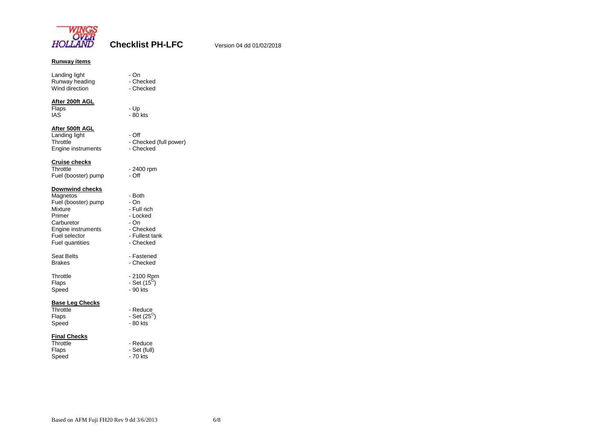

# **Runway items**

Landing light **compared to the U** - On Runway heading The Checked Wind direction **compare 1** - Checked

### **After 200ft AGL**

Flaps - Up IAS - 80 kts

- 2400 rpm<br>- Off

### **After 500ft AGL**

Landing light **compared to the UL** - Off Engine instruments

- Checked (full power)<br>- Checked

**Cruise checks** Fuel (booster) pump

## **Downwind checks**

| Magnetos               | - Both               |
|------------------------|----------------------|
| Fuel (booster) pump    | - On                 |
| Mixture                | - Full rich          |
| Primer                 | - Locked             |
| Carburetor             | - On                 |
| Engine instruments     | - Checked            |
| Fuel selector          | - Fullest tank       |
| Fuel quantities        | - Checked            |
|                        |                      |
| Seat Belts             | - Fastened           |
| <b>Brakes</b>          | - Checked            |
| Throttle               | - 2100 Rpm           |
| Flaps                  | - Set $(15^{\circ})$ |
| Speed                  | - 90 kts             |
|                        |                      |
| <b>Base Leg Checks</b> |                      |
| Throttle               | - Reduce             |
| Flaps                  | - Set $(25^{\circ})$ |
| Speed                  | - 80 kts             |
|                        |                      |

# **Final Checks**

| Throttle | - Reduce     |
|----------|--------------|
| Flaps    | - Set (full) |
| Speed    | - 70 kts     |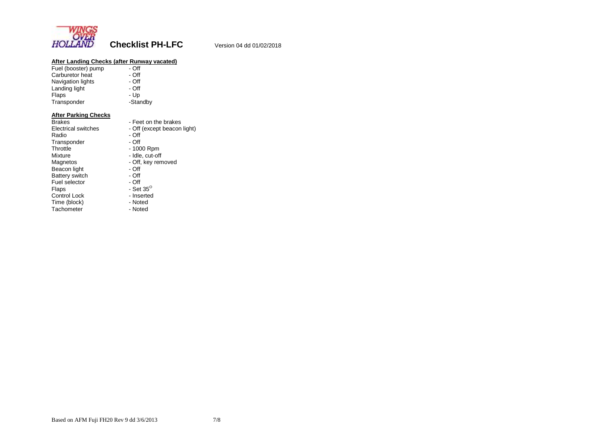

# **After Landing Checks (after Runway vacated)**

| - Off    |  |
|----------|--|
| - Off    |  |
| $-$ Off  |  |
| - Off    |  |
| - Up     |  |
| -Standby |  |
|          |  |

## **After Parking Checks**

| Brakes                | - Feet on the brakes        |
|-----------------------|-----------------------------|
| Electrical switches   | - Off (except beacon light) |
| Radio                 | - Off                       |
| Transponder           | - Off                       |
| Throttle              | - 1000 Rpm                  |
| Mixture               | - Idle, cut-off             |
| Magnetos              | - Off, key removed          |
| Beacon light          | - Off                       |
| <b>Battery switch</b> | - Off                       |
| Fuel selector         | - Off                       |
| Flaps                 | - Set $35^\circ$            |
| Control Lock          | - Inserted                  |
| Time (block)          | - Noted                     |
| Tachometer            | - Noted                     |
|                       |                             |